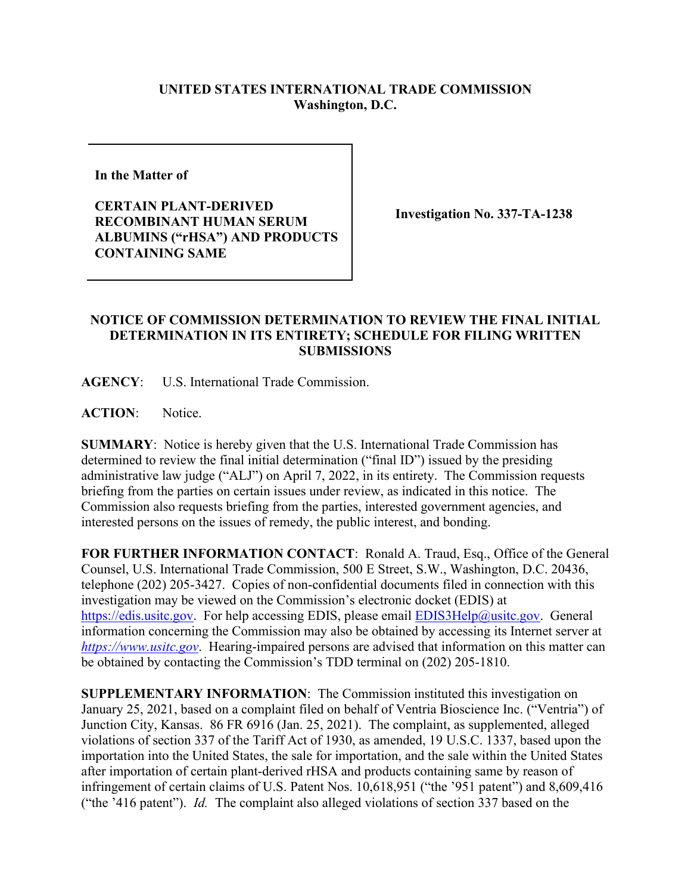## **UNITED STATES INTERNATIONAL TRADE COMMISSION Washington, D.C.**

**In the Matter of** 

**CERTAIN PLANT-DERIVED RECOMBINANT HUMAN SERUM ALBUMINS ("rHSA") AND PRODUCTS CONTAINING SAME**

**Investigation No. 337-TA-1238** 

## **NOTICE OF COMMISSION DETERMINATION TO REVIEW THE FINAL INITIAL DETERMINATION IN ITS ENTIRETY; SCHEDULE FOR FILING WRITTEN SUBMISSIONS**

**AGENCY**: U.S. International Trade Commission.

**ACTION**: Notice.

**SUMMARY**: Notice is hereby given that the U.S. International Trade Commission has determined to review the final initial determination ("final ID") issued by the presiding administrative law judge ("ALJ") on April 7, 2022, in its entirety. The Commission requests briefing from the parties on certain issues under review, as indicated in this notice. The Commission also requests briefing from the parties, interested government agencies, and interested persons on the issues of remedy, the public interest, and bonding.

**FOR FURTHER INFORMATION CONTACT**: Ronald A. Traud, Esq., Office of the General Counsel, U.S. International Trade Commission, 500 E Street, S.W., Washington, D.C. 20436, telephone (202) 205-3427. Copies of non-confidential documents filed in connection with this investigation may be viewed on the Commission's electronic docket (EDIS) at [https://edis.usitc.gov.](https://edis.usitc.gov/) For help accessing EDIS, please email [EDIS3Help@usitc.gov.](mailto:EDIS3Help@usitc.gov) General information concerning the Commission may also be obtained by accessing its Internet server at *[https://www.usitc.gov](https://www.usitc.gov/)*. Hearing-impaired persons are advised that information on this matter can be obtained by contacting the Commission's TDD terminal on (202) 205-1810.

**SUPPLEMENTARY INFORMATION**: The Commission instituted this investigation on January 25, 2021, based on a complaint filed on behalf of Ventria Bioscience Inc. ("Ventria") of Junction City, Kansas. 86 FR 6916 (Jan. 25, 2021). The complaint, as supplemented, alleged violations of section 337 of the Tariff Act of 1930, as amended, 19 U.S.C. 1337, based upon the importation into the United States, the sale for importation, and the sale within the United States after importation of certain plant-derived rHSA and products containing same by reason of infringement of certain claims of U.S. Patent Nos. 10,618,951 ("the '951 patent") and 8,609,416 ("the '416 patent"). *Id.* The complaint also alleged violations of section 337 based on the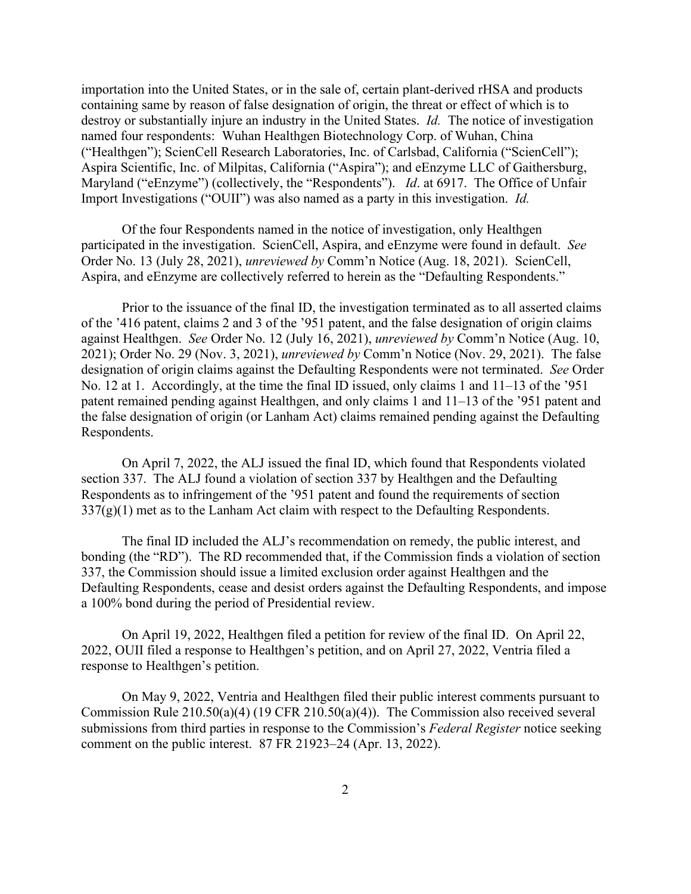importation into the United States, or in the sale of, certain plant-derived rHSA and products containing same by reason of false designation of origin, the threat or effect of which is to destroy or substantially injure an industry in the United States. *Id.* The notice of investigation named four respondents: Wuhan Healthgen Biotechnology Corp. of Wuhan, China ("Healthgen"); ScienCell Research Laboratories, Inc. of Carlsbad, California ("ScienCell"); Aspira Scientific, Inc. of Milpitas, California ("Aspira"); and eEnzyme LLC of Gaithersburg, Maryland ("eEnzyme") (collectively, the "Respondents"). *Id*. at 6917. The Office of Unfair Import Investigations ("OUII") was also named as a party in this investigation. *Id.*

Of the four Respondents named in the notice of investigation, only Healthgen participated in the investigation. ScienCell, Aspira, and eEnzyme were found in default. *See* Order No. 13 (July 28, 2021), *unreviewed by* Comm'n Notice (Aug. 18, 2021). ScienCell, Aspira, and eEnzyme are collectively referred to herein as the "Defaulting Respondents."

Prior to the issuance of the final ID, the investigation terminated as to all asserted claims of the '416 patent, claims 2 and 3 of the '951 patent, and the false designation of origin claims against Healthgen. *See* Order No. 12 (July 16, 2021), *unreviewed by* Comm'n Notice (Aug. 10, 2021); Order No. 29 (Nov. 3, 2021), *unreviewed by* Comm'n Notice (Nov. 29, 2021). The false designation of origin claims against the Defaulting Respondents were not terminated. *See* Order No. 12 at 1. Accordingly, at the time the final ID issued, only claims 1 and 11–13 of the '951 patent remained pending against Healthgen, and only claims 1 and 11–13 of the '951 patent and the false designation of origin (or Lanham Act) claims remained pending against the Defaulting Respondents.

On April 7, 2022, the ALJ issued the final ID, which found that Respondents violated section 337. The ALJ found a violation of section 337 by Healthgen and the Defaulting Respondents as to infringement of the '951 patent and found the requirements of section  $337(g)(1)$  met as to the Lanham Act claim with respect to the Defaulting Respondents.

The final ID included the ALJ's recommendation on remedy, the public interest, and bonding (the "RD"). The RD recommended that, if the Commission finds a violation of section 337, the Commission should issue a limited exclusion order against Healthgen and the Defaulting Respondents, cease and desist orders against the Defaulting Respondents, and impose a 100% bond during the period of Presidential review.

On April 19, 2022, Healthgen filed a petition for review of the final ID. On April 22, 2022, OUII filed a response to Healthgen's petition, and on April 27, 2022, Ventria filed a response to Healthgen's petition.

On May 9, 2022, Ventria and Healthgen filed their public interest comments pursuant to Commission Rule 210.50(a)(4) (19 CFR 210.50(a)(4)). The Commission also received several submissions from third parties in response to the Commission's *Federal Register* notice seeking comment on the public interest. 87 FR 21923–24 (Apr. 13, 2022).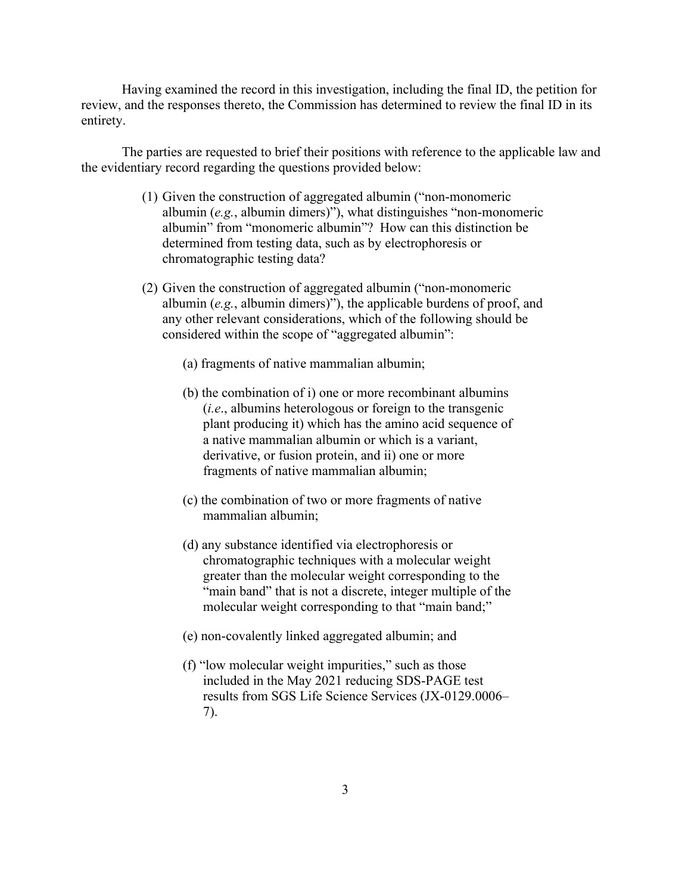Having examined the record in this investigation, including the final ID, the petition for review, and the responses thereto, the Commission has determined to review the final ID in its entirety.

The parties are requested to brief their positions with reference to the applicable law and the evidentiary record regarding the questions provided below:

- (1) Given the construction of aggregated albumin ("non-monomeric albumin (*e.g.*, albumin dimers)"), what distinguishes "non-monomeric albumin" from "monomeric albumin"? How can this distinction be determined from testing data, such as by electrophoresis or chromatographic testing data?
- (2) Given the construction of aggregated albumin ("non-monomeric albumin (*e.g.*, albumin dimers)"), the applicable burdens of proof, and any other relevant considerations, which of the following should be considered within the scope of "aggregated albumin":
	- (a) fragments of native mammalian albumin;
	- (b) the combination of i) one or more recombinant albumins (*i.e*., albumins heterologous or foreign to the transgenic plant producing it) which has the amino acid sequence of a native mammalian albumin or which is a variant, derivative, or fusion protein, and ii) one or more fragments of native mammalian albumin;
	- (c) the combination of two or more fragments of native mammalian albumin;
	- (d) any substance identified via electrophoresis or chromatographic techniques with a molecular weight greater than the molecular weight corresponding to the "main band" that is not a discrete, integer multiple of the molecular weight corresponding to that "main band;"
	- (e) non-covalently linked aggregated albumin; and
	- (f) "low molecular weight impurities," such as those included in the May 2021 reducing SDS-PAGE test results from SGS Life Science Services (JX-0129.0006– 7).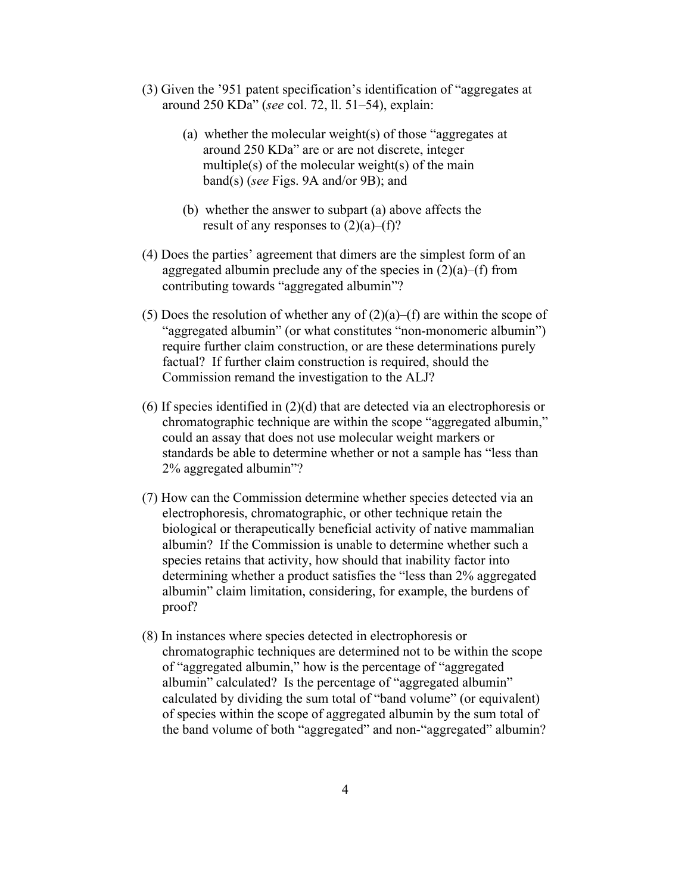- (3) Given the '951 patent specification's identification of "aggregates at around 250 KDa" (*see* col. 72, ll. 51–54), explain:
	- (a) whether the molecular weight(s) of those "aggregates at around 250 KDa" are or are not discrete, integer multiple(s) of the molecular weight(s) of the main band(s) (*see* Figs. 9A and/or 9B); and
	- (b) whether the answer to subpart (a) above affects the result of any responses to  $(2)(a)$ –(f)?
- (4) Does the parties' agreement that dimers are the simplest form of an aggregated albumin preclude any of the species in  $(2)(a)$ –(f) from contributing towards "aggregated albumin"?
- (5) Does the resolution of whether any of  $(2)(a)$ –(f) are within the scope of "aggregated albumin" (or what constitutes "non-monomeric albumin") require further claim construction, or are these determinations purely factual? If further claim construction is required, should the Commission remand the investigation to the ALJ?
- (6) If species identified in (2)(d) that are detected via an electrophoresis or chromatographic technique are within the scope "aggregated albumin," could an assay that does not use molecular weight markers or standards be able to determine whether or not a sample has "less than 2% aggregated albumin"?
- (7) How can the Commission determine whether species detected via an electrophoresis, chromatographic, or other technique retain the biological or therapeutically beneficial activity of native mammalian albumin? If the Commission is unable to determine whether such a species retains that activity, how should that inability factor into determining whether a product satisfies the "less than 2% aggregated albumin" claim limitation, considering, for example, the burdens of proof?
- (8) In instances where species detected in electrophoresis or chromatographic techniques are determined not to be within the scope of "aggregated albumin," how is the percentage of "aggregated albumin" calculated? Is the percentage of "aggregated albumin" calculated by dividing the sum total of "band volume" (or equivalent) of species within the scope of aggregated albumin by the sum total of the band volume of both "aggregated" and non-"aggregated" albumin?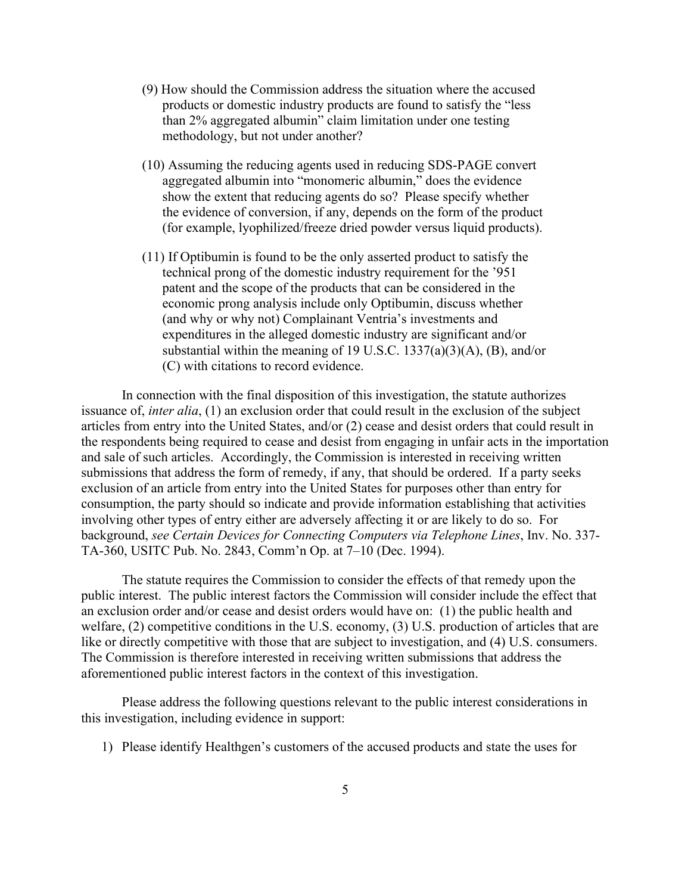- (9) How should the Commission address the situation where the accused products or domestic industry products are found to satisfy the "less than 2% aggregated albumin" claim limitation under one testing methodology, but not under another?
- (10) Assuming the reducing agents used in reducing SDS-PAGE convert aggregated albumin into "monomeric albumin," does the evidence show the extent that reducing agents do so? Please specify whether the evidence of conversion, if any, depends on the form of the product (for example, lyophilized/freeze dried powder versus liquid products).
- (11) If Optibumin is found to be the only asserted product to satisfy the technical prong of the domestic industry requirement for the '951 patent and the scope of the products that can be considered in the economic prong analysis include only Optibumin, discuss whether (and why or why not) Complainant Ventria's investments and expenditures in the alleged domestic industry are significant and/or substantial within the meaning of 19 U.S.C.  $1337(a)(3)(A)$ , (B), and/or (C) with citations to record evidence.

In connection with the final disposition of this investigation, the statute authorizes issuance of, *inter alia*, (1) an exclusion order that could result in the exclusion of the subject articles from entry into the United States, and/or (2) cease and desist orders that could result in the respondents being required to cease and desist from engaging in unfair acts in the importation and sale of such articles. Accordingly, the Commission is interested in receiving written submissions that address the form of remedy, if any, that should be ordered. If a party seeks exclusion of an article from entry into the United States for purposes other than entry for consumption, the party should so indicate and provide information establishing that activities involving other types of entry either are adversely affecting it or are likely to do so. For background, *see Certain Devices for Connecting Computers via Telephone Lines*, Inv. No. 337- TA-360, USITC Pub. No. 2843, Comm'n Op. at 7–10 (Dec. 1994).

The statute requires the Commission to consider the effects of that remedy upon the public interest. The public interest factors the Commission will consider include the effect that an exclusion order and/or cease and desist orders would have on: (1) the public health and welfare, (2) competitive conditions in the U.S. economy, (3) U.S. production of articles that are like or directly competitive with those that are subject to investigation, and (4) U.S. consumers. The Commission is therefore interested in receiving written submissions that address the aforementioned public interest factors in the context of this investigation.

Please address the following questions relevant to the public interest considerations in this investigation, including evidence in support:

1) Please identify Healthgen's customers of the accused products and state the uses for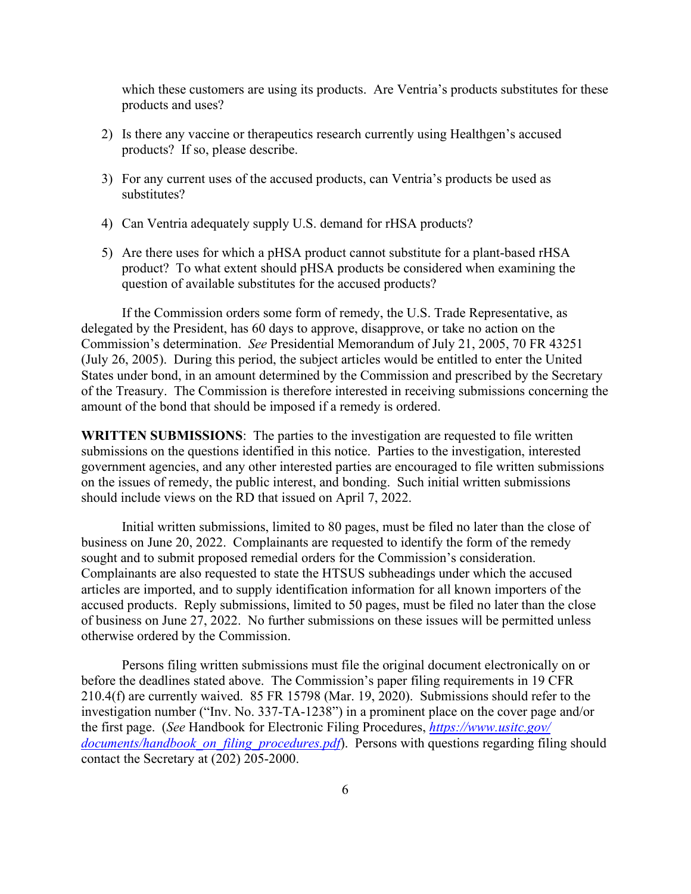which these customers are using its products. Are Ventria's products substitutes for these products and uses?

- 2) Is there any vaccine or therapeutics research currently using Healthgen's accused products? If so, please describe.
- 3) For any current uses of the accused products, can Ventria's products be used as substitutes?
- 4) Can Ventria adequately supply U.S. demand for rHSA products?
- 5) Are there uses for which a pHSA product cannot substitute for a plant-based rHSA product? To what extent should pHSA products be considered when examining the question of available substitutes for the accused products?

If the Commission orders some form of remedy, the U.S. Trade Representative, as delegated by the President, has 60 days to approve, disapprove, or take no action on the Commission's determination. *See* Presidential Memorandum of July 21, 2005, 70 FR 43251 (July 26, 2005). During this period, the subject articles would be entitled to enter the United States under bond, in an amount determined by the Commission and prescribed by the Secretary of the Treasury. The Commission is therefore interested in receiving submissions concerning the amount of the bond that should be imposed if a remedy is ordered.

**WRITTEN SUBMISSIONS**: The parties to the investigation are requested to file written submissions on the questions identified in this notice. Parties to the investigation, interested government agencies, and any other interested parties are encouraged to file written submissions on the issues of remedy, the public interest, and bonding. Such initial written submissions should include views on the RD that issued on April 7, 2022.

Initial written submissions, limited to 80 pages, must be filed no later than the close of business on June 20, 2022. Complainants are requested to identify the form of the remedy sought and to submit proposed remedial orders for the Commission's consideration. Complainants are also requested to state the HTSUS subheadings under which the accused articles are imported, and to supply identification information for all known importers of the accused products. Reply submissions, limited to 50 pages, must be filed no later than the close of business on June 27, 2022. No further submissions on these issues will be permitted unless otherwise ordered by the Commission.

Persons filing written submissions must file the original document electronically on or before the deadlines stated above. The Commission's paper filing requirements in 19 CFR 210.4(f) are currently waived. 85 FR 15798 (Mar. 19, 2020). Submissions should refer to the investigation number ("Inv. No. 337-TA-1238") in a prominent place on the cover page and/or the first page. (*See* Handbook for Electronic Filing Procedures, *[https://www.usitc.gov/](https://www.usitc.gov/documents/handbook_on_filing_procedures.pdf)  documents/handbook on filing procedures.pdf*). Persons with questions regarding filing should contact the Secretary at (202) 205-2000.